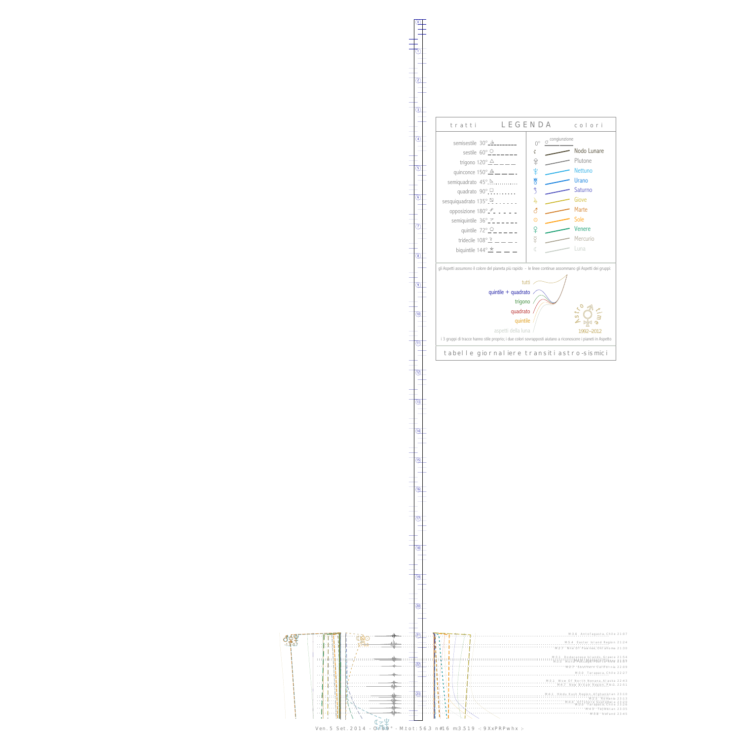